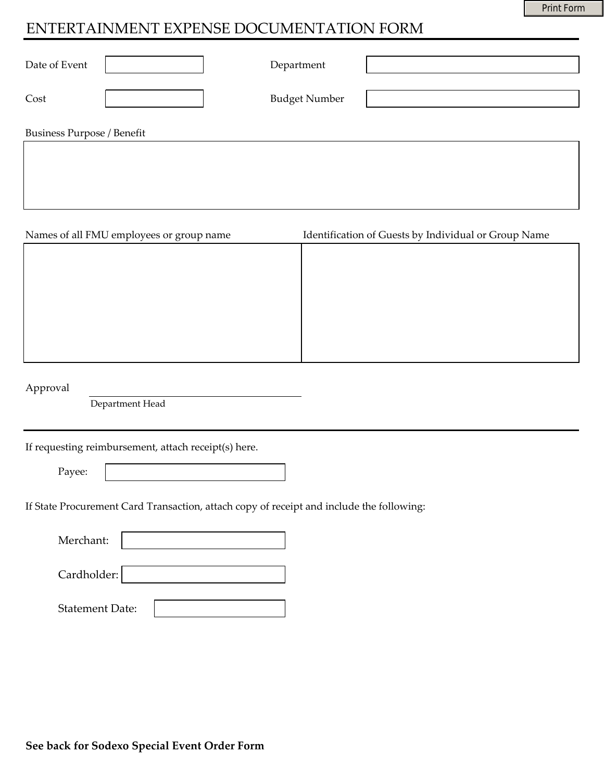# ENTERTAINMENT EXPENSE DOCUMENTATION FORM

| Date of Event                     | Department           |  |
|-----------------------------------|----------------------|--|
| Cost                              | <b>Budget Number</b> |  |
| <b>Business Purpose / Benefit</b> |                      |  |
|                                   |                      |  |

| Names of all FMU employees or group name | Identification of Guests by Individual or Group Name |
|------------------------------------------|------------------------------------------------------|
|                                          |                                                      |
|                                          |                                                      |
|                                          |                                                      |
|                                          |                                                      |
|                                          |                                                      |
|                                          |                                                      |
|                                          |                                                      |

Approval

Department Head

If requesting reimbursement, attach receipt(s) here.

Payee:

If State Procurement Card Transaction, attach copy of receipt and include the following:

| Merchant:              |  |
|------------------------|--|
|                        |  |
| Cardholder:            |  |
| <b>Statement Date:</b> |  |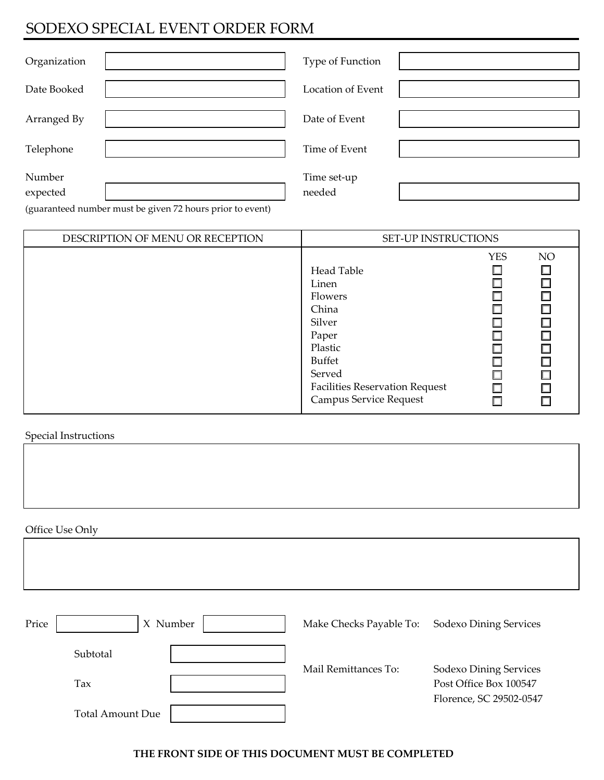## SODEXO SPECIAL EVENT ORDER FORM

| Organization       | Type of Function      |  |
|--------------------|-----------------------|--|
| Date Booked        | Location of Event     |  |
| Arranged By        | Date of Event         |  |
| Telephone          | Time of Event         |  |
| Number<br>expected | Time set-up<br>needed |  |

(guaranteed number must be given 72 hours prior to event)

| DESCRIPTION OF MENU OR RECEPTION | <b>SET-UP INSTRUCTIONS</b>                                                                 |            |                                                      |
|----------------------------------|--------------------------------------------------------------------------------------------|------------|------------------------------------------------------|
|                                  | Head Table<br>Linen<br>Flowers<br>China<br>Silver<br>Paper<br>Plastic                      | <b>YES</b> | NO<br>$\Box$<br>$\Box$<br>$\Box$<br>$\Box$<br>$\Box$ |
|                                  | <b>Buffet</b><br>Served<br><b>Facilities Reservation Request</b><br>Campus Service Request |            | $\Box$<br>$\Box$<br>$\Box$<br>П                      |

Special Instructions

Office Use Only

| Price<br>$\mathbf{X}$   | Number | Make Checks Payable To: | <b>Sodexo Dining Services</b>                    |
|-------------------------|--------|-------------------------|--------------------------------------------------|
| Subtotal                |        |                         |                                                  |
| Tax                     |        | Mail Remittances To:    | Sodexo Dining Services<br>Post Office Box 100547 |
| <b>Total Amount Due</b> |        |                         | Florence, SC 29502-0547                          |

#### **THE FRONT SIDE OF THIS DOCUMENT MUST BE COMPLETED**